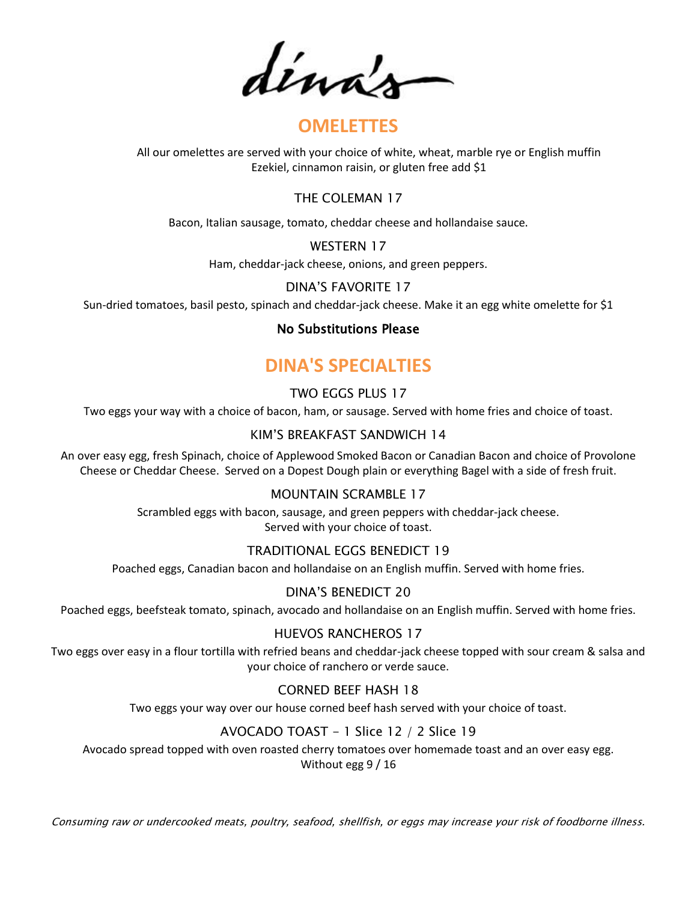dénas

## **OMELETTES**

All our omelettes are served with your choice of white, wheat, marble rye or English muffin Ezekiel, cinnamon raisin, or gluten free add \$1

### THE COLEMAN 17

Bacon, Italian sausage, tomato, cheddar cheese and hollandaise sauce.

WESTERN 17

Ham, cheddar-jack cheese, onions, and green peppers.

### DINA'S FAVORITE 17

Sun-dried tomatoes, basil pesto, spinach and cheddar-jack cheese. Make it an egg white omelette for \$1

### No Substitutions Please

# **DINA'S SPECIALTIES**

### TWO EGGS PLUS 17

Two eggs your way with a choice of bacon, ham, or sausage. Served with home fries and choice of toast.

### KIM'S BREAKFAST SANDWICH 14

An over easy egg, fresh Spinach, choice of Applewood Smoked Bacon or Canadian Bacon and choice of Provolone Cheese or Cheddar Cheese. Served on a Dopest Dough plain or everything Bagel with a side of fresh fruit.

### MOUNTAIN SCRAMBLE 17

Scrambled eggs with bacon, sausage, and green peppers with cheddar-jack cheese. Served with your choice of toast.

### TRADITIONAL EGGS BENEDICT 19

Poached eggs, Canadian bacon and hollandaise on an English muffin. Served with home fries.

### DINA'S BENEDICT 20

Poached eggs, beefsteak tomato, spinach, avocado and hollandaise on an English muffin. Served with home fries.

### HUEVOS RANCHEROS 17

Two eggs over easy in a flour tortilla with refried beans and cheddar-jack cheese topped with sour cream & salsa and your choice of ranchero or verde sauce.

### CORNED BEEF HASH 18

Two eggs your way over our house corned beef hash served with your choice of toast.

### AVOCADO TOAST - 1 Slice 12 / 2 Slice 19

Avocado spread topped with oven roasted cherry tomatoes over homemade toast and an over easy egg. Without egg 9 / 16

Consuming raw or undercooked meats, poultry, seafood, shellfish, or eggs may increase your risk of foodborne illness.